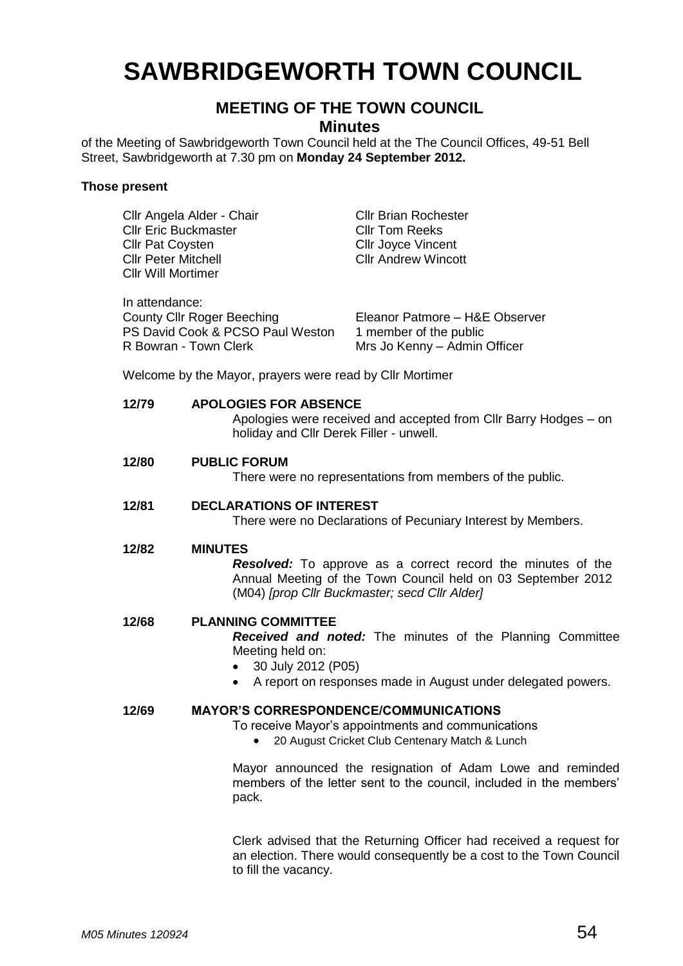# **SAWBRIDGEWORTH TOWN COUNCIL**

## **MEETING OF THE TOWN COUNCIL**

**Minutes**

of the Meeting of Sawbridgeworth Town Council held at the The Council Offices, 49-51 Bell Street, Sawbridgeworth at 7.30 pm on **Monday 24 September 2012.**

#### **Those present**

| Cllr Angela Alder - Chair<br><b>Cllr Eric Buckmaster</b><br><b>Cllr Pat Coysten</b><br><b>Cllr Peter Mitchell</b><br><b>Cllr Will Mortimer</b>                |                                                                                                                                                                                                                      | <b>Cllr Brian Rochester</b><br><b>CIIr Tom Reeks</b><br><b>Cllr Joyce Vincent</b><br><b>Cllr Andrew Wincott</b>                                                                     |
|---------------------------------------------------------------------------------------------------------------------------------------------------------------|----------------------------------------------------------------------------------------------------------------------------------------------------------------------------------------------------------------------|-------------------------------------------------------------------------------------------------------------------------------------------------------------------------------------|
| In attendance:<br><b>County Cllr Roger Beeching</b><br>PS David Cook & PCSO Paul Weston<br>R Bowran - Town Clerk                                              |                                                                                                                                                                                                                      | Eleanor Patmore - H&E Observer<br>1 member of the public<br>Mrs Jo Kenny - Admin Officer                                                                                            |
| Welcome by the Mayor, prayers were read by Cllr Mortimer                                                                                                      |                                                                                                                                                                                                                      |                                                                                                                                                                                     |
| 12/79                                                                                                                                                         | <b>APOLOGIES FOR ABSENCE</b><br>holiday and Cllr Derek Filler - unwell.                                                                                                                                              | Apologies were received and accepted from Cllr Barry Hodges - on                                                                                                                    |
| 12/80                                                                                                                                                         | <b>PUBLIC FORUM</b><br>There were no representations from members of the public.                                                                                                                                     |                                                                                                                                                                                     |
| 12/81                                                                                                                                                         | <b>DECLARATIONS OF INTEREST</b><br>There were no Declarations of Pecuniary Interest by Members.                                                                                                                      |                                                                                                                                                                                     |
| 12/82<br><b>MINUTES</b>                                                                                                                                       |                                                                                                                                                                                                                      | <b>Resolved:</b> To approve as a correct record the minutes of the<br>Annual Meeting of the Town Council held on 03 September 2012<br>(M04) [prop Cllr Buckmaster; secd Cllr Alder] |
| 12/68                                                                                                                                                         | <b>PLANNING COMMITTEE</b><br><b>Received and noted:</b> The minutes of the Planning Committee<br>Meeting held on:<br>30 July 2012 (P05)<br>A report on responses made in August under delegated powers.<br>$\bullet$ |                                                                                                                                                                                     |
| <b>MAYOR'S CORRESPONDENCE/COMMUNICATIONS</b><br>12/69<br>To receive Mayor's appointments and communications<br>20 August Cricket Club Centenary Match & Lunch |                                                                                                                                                                                                                      |                                                                                                                                                                                     |
|                                                                                                                                                               | pack.                                                                                                                                                                                                                | Mayor announced the resignation of Adam Lowe and reminded<br>members of the letter sent to the council, included in the members'                                                    |
|                                                                                                                                                               | to fill the vacancy.                                                                                                                                                                                                 | Clerk advised that the Returning Officer had received a request for<br>an election. There would consequently be a cost to the Town Council                                          |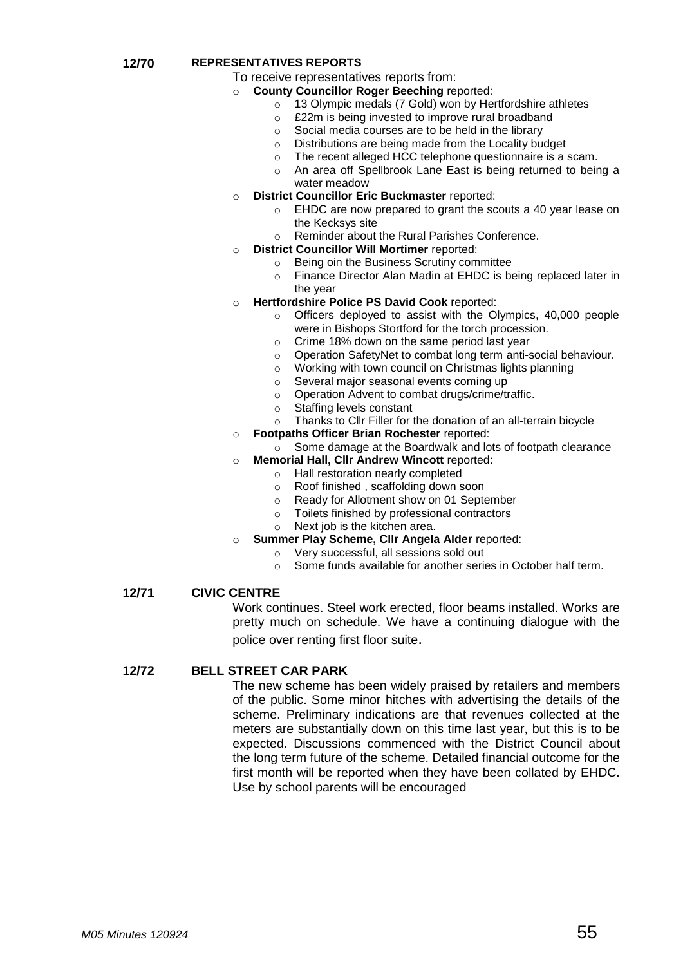#### **12/70 REPRESENTATIVES REPORTS**

- To receive representatives reports from:
	- o **County Councillor Roger Beeching** reported:
		- o 13 Olympic medals (7 Gold) won by Hertfordshire athletes
		- o £22m is being invested to improve rural broadband
		- o Social media courses are to be held in the library
		- o Distributions are being made from the Locality budget
		- o The recent alleged HCC telephone questionnaire is a scam.
		- o An area off Spellbrook Lane East is being returned to being a water meadow
	- o **District Councillor Eric Buckmaster** reported:
		- o EHDC are now prepared to grant the scouts a 40 year lease on the Kecksys site
		- o Reminder about the Rural Parishes Conference.
	- o **District Councillor Will Mortimer** reported:
		-
		- o Being oin the Business Scrutiny committee<br>
		o Finance Director Alan Madin at EHDC is be Finance Director Alan Madin at EHDC is being replaced later in the year
- o **Hertfordshire Police PS David Cook** reported:
	- o Officers deployed to assist with the Olympics, 40,000 people were in Bishops Stortford for the torch procession.
	- o Crime 18% down on the same period last year
	- o Operation SafetyNet to combat long term anti-social behaviour.
	- o Working with town council on Christmas lights planning
	- o Several major seasonal events coming up
	- o Operation Advent to combat drugs/crime/traffic.
	- o Staffing levels constant
	- o Thanks to Cllr Filler for the donation of an all-terrain bicycle
- o **Footpaths Officer Brian Rochester** reported:
	- o Some damage at the Boardwalk and lots of footpath clearance
- o **Memorial Hall, Cllr Andrew Wincott** reported:
	- o Hall restoration nearly completed
	- o Roof finished , scaffolding down soon
	- o Ready for Allotment show on 01 September
	- o Toilets finished by professional contractors
	- o Next job is the kitchen area.
	- **Summer Play Scheme, Cllr Angela Alder reported:** 
		- o Very successful, all sessions sold out
		- o Some funds available for another series in October half term.

#### **12/71 CIVIC CENTRE**

Work continues. Steel work erected, floor beams installed. Works are pretty much on schedule. We have a continuing dialogue with the police over renting first floor suite.

#### **12/72 BELL STREET CAR PARK**

The new scheme has been widely praised by retailers and members of the public. Some minor hitches with advertising the details of the scheme. Preliminary indications are that revenues collected at the meters are substantially down on this time last year, but this is to be expected. Discussions commenced with the District Council about the long term future of the scheme. Detailed financial outcome for the first month will be reported when they have been collated by EHDC. Use by school parents will be encouraged